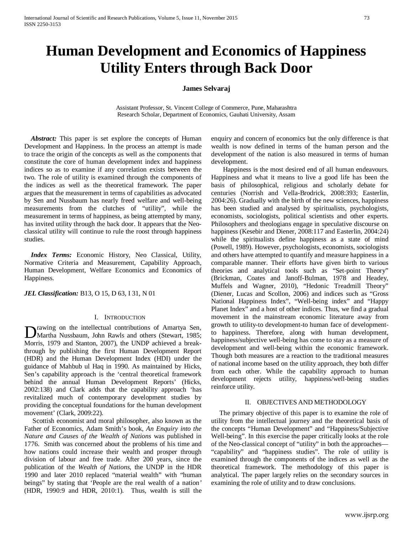# **Human Development and Economics of Happiness Utility Enters through Back Door**

# **James Selvaraj**

Assistant Professor, St. Vincent College of Commerce, Pune, Maharashtra Research Scholar, Department of Economics, Gauhati University, Assam

*Abstract:* This paper is set explore the concepts of Human Development and Happiness. In the process an attempt is made to trace the origin of the concepts as well as the components that constitute the core of human development index and happiness indices so as to examine if any correlation exists between the two. The role of utility is examined through the components of the indices as well as the theoretical framework. The paper argues that the measurement in terms of capabilities as advocated by Sen and Nussbaum has nearly freed welfare and well-being measurements from the clutches of "utility", while the measurement in terms of happiness, as being attempted by many, has invited utility through the back door. It appears that the Neoclassical utility will continue to rule the roost through happiness studies.

 *Index Terms:* Economic History, Neo Classical, Utility, Normative Criteria and Measurement, Capability Approach, Human Development, Welfare Economics and Economics of Happiness.

*JEL Classification:* B13, O 15, D 63, I 31, N 01

#### I. INTRODUCTION

rawing on the intellectual contributions of Amartya Sen, Drawing on the intellectual contributions of Amartya Sen,<br>Martha Nussbaum, John Rawls and others (Stewart, 1985; Morris, 1979 and Stanton, 2007), the UNDP achieved a breakthrough by publishing the first Human Development Report (HDR) and the Human Development Index (HDI) under the guidance of Mahbub ul Haq in 1990. As maintained by Hicks, Sen's capability approach is the 'central theoretical framework behind the annual Human Development Reports' (Hicks, 2002:138) and Clark adds that the capability approach 'has revitalized much of contemporary development studies by providing the conceptual foundations for the human development movement' (Clark, 2009:22).

 Scottish economist and moral philosopher, also known as the Father of Economics, Adam Smith's book, *An Enquiry into the Nature and Causes of the Wealth of Nations* was published in 1776. Smith was concerned about the problems of his time and how nations could increase their wealth and prosper through division of labour and free trade. After 200 years, since the publication of the *Wealth of Nations*, the UNDP in the HDR 1990 and later 2010 replaced "material wealth" with "human beings" by stating that 'People are the real wealth of a nation*'* (HDR, 1990:9 and HDR, 2010:1). Thus, wealth is still the enquiry and concern of economics but the only difference is that wealth is now defined in terms of the human person and the development of the nation is also measured in terms of human development.

 Happiness is the most desired end of all human endeavours. Happiness and what it means to live a good life has been the basis of philosophical, religious and scholarly debate for centuries (Norrish and Vella-Brodrick, 2008:393; Easterlin, 2004:26). Gradually with the birth of the new sciences, happiness has been studied and analysed by spiritualists, psychologists, economists, sociologists, political scientists and other experts. Philosophers and theologians engage in speculative discourse on happiness (Kesebir and Diener, 2008:117 and Easterlin, 2004:24) while the spiritualists define happiness as a state of mind (Powell, 1989). However, psychologists, economists, sociologists and others have attempted to quantify and measure happiness in a comparable manner. Their efforts have given birth to various theories and analytical tools such as "Set-point Theory" (Brickman, Coates and Janoff-Bulman, 1978 and Headey, Muffels and Wagner, 2010), "Hedonic Treadmill Theory" (Diener, Lucas and Scollon, 2006) and indices such as "Gross National Happiness Index", "Well-being index" and "Happy Planet Index" and a host of other indices. Thus, we find a gradual movement in the mainstream economic literature away from growth to utility-to development-to human face of developmentto happiness. Therefore, along with human development, happiness/subjective well-being has come to stay as a measure of development and well-being within the economic framework. Though both measures are a reaction to the traditional measures of national income based on the utility approach, they both differ from each other. While the capability approach to human development rejects utility, happiness/well-being studies reinforce utility.

#### II. OBJECTIVES AND METHODOLOGY

 The primary objective of this paper is to examine the role of utility from the intellectual journey and the theoretical basis of the concepts "Human Development" and "Happiness/Subjective Well-being". In this exercise the paper critically looks at the role of the Neo-classical concept of "utility" in both the approaches— "capability" and "happiness studies". The role of utility is examined through the components of the indices as well as the theoretical framework. The methodology of this paper is analytical. The paper largely relies on the secondary sources in examining the role of utility and to draw conclusions.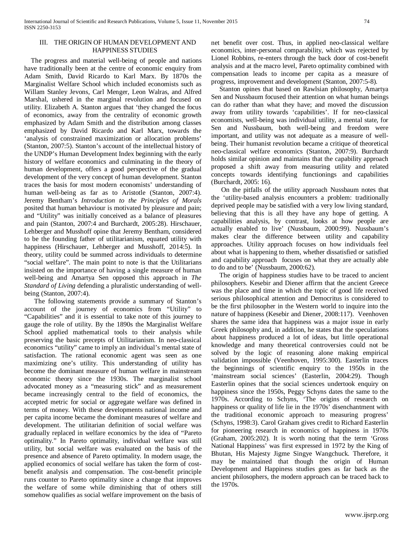#### III. THE ORIGIN OF HUMAN DEVELOPMENT AND HAPPINESS STUDIES

 The progress and material well-being of people and nations have traditionally been at the centre of economic enquiry from Adam Smith, David Ricardo to Karl Marx. By 1870s the Marginalist Welfare School which included economists such as Willam Stanley Jevons, Carl Menger, Leon Walras, and Alfred Marshal, ushered in the marginal revolution and focused on utility. Elizabeth A. Stanton argues that 'they changed the focus of economics, away from the centrality of economic growth emphasized by Adam Smith and the distribution among classes emphasized by David Ricardo and Karl Marx, towards the 'analysis of constrained maximization or allocation problems' (Stanton, 2007:5). Stanton's account of the intellectual history of the UNDP's Human Development Index beginning with the early history of welfare economics and culminating in the theory of human development, offers a good perspective of the gradual development of the very concept of human development. Stanton traces the basis for most modern economists' understanding of human well-being as far as to Aristotle (Stanton, 2007:4). Jeremy Bentham's *Introduction to the Principles of Morals*  posited that human behaviour is motivated by pleasure and pain; and "Utility" was initially conceived as a balance of pleasures and pain (Stanton, 2007:4 and Burchardt, 2005:28). Hirschauer, Lehberger and Musshoff opine that Jeremy Bentham, considered to be the founding father of utilitarianism, equated utility with happiness (Hirschauer, Lehberger and Musshoff, 2014:5). In theory, utility could be summed across individuals to determine "social welfare". The main point to note is that the Utilitarians insisted on the importance of having a single measure of human well-being and Amartya Sen opposed this approach in *The Standard of Living* defending a pluralistic understanding of wellbeing (Stanton, 2007:4).

 The following statements provide a summary of Stanton's account of the journey of economics from "Utility" to "Capabilities" and it is essential to take note of this journey to gauge the role of utility. By the 1890s the Marginalist Welfare School applied mathematical tools to their analysis while preserving the basic precepts of Utilitarianism. In neo-classical economics "utility" came to imply an individual's mental state of satisfaction. The rational economic agent was seen as one maximizing one's utility. This understanding of utility has become the dominant measure of human welfare in mainstream economic theory since the 1930s. The marginalist school advocated money as a "measuring stick" and as measurement became increasingly central to the field of economics, the accepted metric for social or aggregate welfare was defined in terms of money. With these developments national income and per capita income became the dominant measures of welfare and development. The utilitarian definition of social welfare was gradually replaced in welfare economics by the idea of "Pareto optimality." In Pareto optimality, individual welfare was still utility, but social welfare was evaluated on the basis of the presence and absence of Pareto optimality. In modern usage, the applied economics of social welfare has taken the form of costbenefit analysis and compensation. The cost-benefit principle runs counter to Pareto optimality since a change that improves the welfare of some while diminishing that of others still somehow qualifies as social welfare improvement on the basis of net benefit over cost. Thus, in applied neo-classical welfare economics, inter-personal comparability, which was rejected by Lionel Robbins, re-enters through the back door of cost-benefit analysis and at the macro level, Pareto optimality combined with compensation leads to income per capita as a measure of progress, improvement and development (Stanton, 2007:5-8).

 Stanton opines that based on Rawlsian philosophy, Amartya Sen and Nussbaum focused their attention on what human beings can do rather than what they have; and moved the discussion away from utility towards 'capabilities'. If for neo-classical economists, well-being was individual utility, a mental state, for Sen and Nussbaum, both well-being and freedom were important, and utility was not adequate as a measure of wellbeing. Their humanist revolution became a critique of theoretical neo-classical welfare economics (Stanton, 2007:9). Burchardt holds similar opinion and maintains that the capability approach proposed a shift away from measuring utility and related concepts towards identifying functionings and capabilities (Burchardt, 2005: 16).

 On the pitfalls of the utility approach Nussbaum notes that the 'utility-based analysis encounters a problem: traditionally deprived people may be satisfied with a very low living standard, believing that this is all they have any hope of getting. A capabilities analysis, by contrast, looks at how people are actually enabled to live' (Nussbaum, 2000:99). Nussbaum's makes clear the difference between utility and capability approaches. Utility approach focuses on how individuals feel about what is happening to them, whether dissatisfied or satisfied and capability approach focuses on what they are actually able to do and to be' (Nussbaum, 2000:62).

 The origin of happiness studies have to be traced to ancient philosophers. Kesebir and Diener affirm that the ancient Greece was the place and time in which the topic of good life received serious philosophical attention and Democritus is considered to be the first philosopher in the Western world to inquire into the nature of happiness (Kesebir and Diener, 2008:117). Veenhoven shares the same idea that happiness was a major issue in early Greek philosophy and, in addition, he states that the speculations about happiness produced a lot of ideas, but little operational knowledge and many theoretical controversies could not be solved by the logic of reasoning alone making empirical validation impossible (Veenhoven, 1995:300). Easterlin traces the beginnings of scientific enquiry to the 1950s in the 'mainstream social sciences' (Easterlin, 2004:29). Though Easterlin opines that the social sciences undertook enquiry on happiness since the 1950s, Peggy Schyns dates the same to the 1970s. According to Schyns, 'The origins of research on happiness or quality of life lie in the 1970s' disenchantment with the traditional economic approach to measuring progress' (Schyns, 1998:3). Carol Graham gives credit to Richard Easterlin for pioneering research in economics of happiness in 1970s (Graham, 2005:202). It is worth noting that the term 'Gross National Happiness' was first expressed in 1972 by the King of Bhutan, His Majesty Jigme Singye Wangchuck. Therefore, it may be maintained that though the origin of Human Development and Happiness studies goes as far back as the ancient philosophers, the modern approach can be traced back to the 1970s.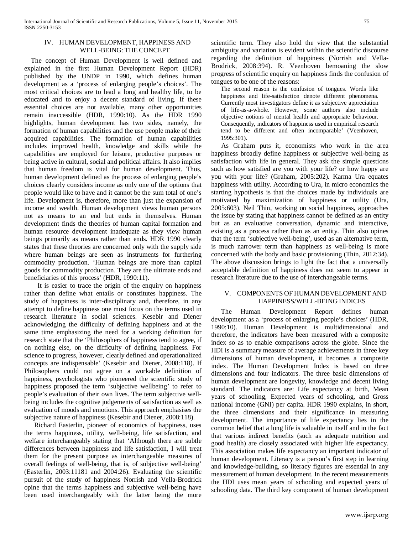### IV. HUMAN DEVELOPMENT, HAPPINESS AND WELL-BEING: THE CONCEPT

 The concept of Human Development is well defined and explained in the first Human Development Report (HDR) published by the UNDP in 1990, which defines human development as a 'process of enlarging people's choices'. The most critical choices are to lead a long and healthy life, to be educated and to enjoy a decent standard of living. If these essential choices are not available, many other opportunities remain inaccessible (HDR, 1990:10). As the HDR 1990 highlights, human development has two sides, namely, the formation of human capabilities and the use people make of their acquired capabilities. The formation of human capabilities includes improved health, knowledge and skills while the capabilities are employed for leisure, productive purposes or being active in cultural, social and political affairs. It also implies that human freedom is vital for human development. Thus, human development defined as the process of enlarging people's choices clearly considers income as only one of the options that people would like to have and it cannot be the sum total of one's life. Development is, therefore, more than just the expansion of income and wealth. Human development views human persons not as means to an end but ends in themselves. Human development finds the theories of human capital formation and human resource development inadequate as they view human beings primarily as means rather than ends. HDR 1990 clearly states that these theories are concerned only with the supply side where human beings are seen as instruments for furthering commodity production. 'Human beings are more than capital goods for commodity production. They are the ultimate ends and beneficiaries of this process' (HDR, 1990:11).

 It is easier to trace the origin of the enquiry on happiness rather than define what entails or constitutes happiness. The study of happiness is inter-disciplinary and, therefore, in any attempt to define happiness one must focus on the terms used in research literature in social sciences. Kesebir and Diener acknowledging the difficulty of defining happiness and at the same time emphasizing the need for a working definition for research state that the 'Philosophers of happiness tend to agree, if on nothing else, on the difficulty of defining happiness. For science to progress, however, clearly defined and operationalized concepts are indispensable' (Kesebir and Diener, 2008:118). If Philosophers could not agree on a workable definition of happiness, psychologists who pioneered the scientific study of happiness proposed the term 'subjective wellbeing' to refer to people's evaluation of their own lives. The term subjective wellbeing includes the cognitive judgements of satisfaction as well as evaluation of moods and emotions. This approach emphasises the subjective nature of happiness (Kesebir and Diener, 2008:118).

 Richard Easterlin, pioneer of economics of happiness, uses the terms happiness, utility, well-being, life satisfaction, and welfare interchangeably stating that 'Although there are subtle differences between happiness and life satisfaction, I will treat them for the present purpose as interchangeable measures of overall feelings of well-being, that is, of subjective well-being' (Easterlin, 2003:11181 and 2004:26). Evaluating the scientific pursuit of the study of happiness Norrish and Vella-Brodrick opine that the terms happiness and subjective well-being have been used interchangeably with the latter being the more

scientific term. They also hold the view that the substantial ambiguity and variation is evident within the scientific discourse regarding the definition of happiness (Norrish and Vella-Brodrick, 2008:394). R. Veenhoven bemoaning the slow progress of scientific enquiry on happiness finds the confusion of tongues to be one of the reasons:

The second reason is the confusion of tongues. Words like happiness and life-satisfaction denote different phenomena. Currently most investigators define it as subjective appreciation of life-as-a-whole. However, some authors also include objective notions of mental health and appropriate behaviour. Consequently, indicators of happiness used in empirical research tend to be different and often incomparable' (Veenhoven, 1995:301).

 As Graham puts it, economists who work in the area happiness broadly define happiness or subjective well-being as satisfaction with life in general. They ask the simple questions such as how satisfied are you with your life? or how happy are you with your life? (Graham, 2005:202). Karma Ura equates happiness with utility. According to Ura, in micro economics the starting hypothesis is that the choices made by individuals are motivated by maximization of happiness or utility (Ura, 2005:603). Neil Thin, working on social happiness, approaches the issue by stating that happiness cannot be defined as an entity but as an evaluative conversation, dynamic and interactive, existing as a process rather than as an entity. Thin also opines that the term 'subjective well-being', used as an alternative term, is much narrower term than happiness as well-being is more concerned with the body and basic provisioning (Thin, 2012:34). The above discussion brings to light the fact that a universally acceptable definition of happiness does not seem to appear in research literature due to the use of interchangeable terms.

## V. COMPONENTS OF HUMAN DEVELOPMENT AND HAPPINESS/WELL-BEING INDICES

 The Human Development Report defines human development as a 'process of enlarging people's choices' (HDR, 1990:10). Human Development is multidimensional and therefore, the indicators have been measured with a composite index so as to enable comparisons across the globe. Since the HDI is a summary measure of average achievements in three key dimensions of human development, it becomes a composite index. The Human Development Index is based on three dimensions and four indicators. The three basic dimensions of human development are longevity, knowledge and decent living standard. The indicators are: Life expectancy at birth, Mean years of schooling, Expected years of schooling, and Gross national income (GNI) per capita. HDR 1990 explains, in short, the three dimensions and their significance in measuring development. The importance of life expectancy lies in the common belief that a long life is valuable in itself and in the fact that various indirect benefits (such as adequate nutrition and good health) are closely associated with higher life expectancy. This association makes life expectancy an important indicator of human development. Literacy is a person's first step in learning and knowledge-building, so literacy figures are essential in any measurement of human development. In the recent measurements the HDI uses mean years of schooling and expected years of schooling data. The third key component of human development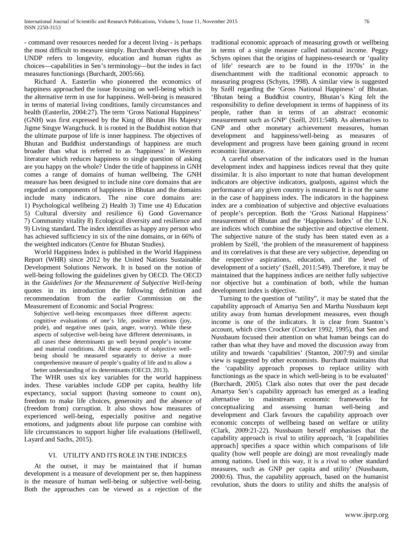- command over resources needed for a decent living - is perhaps the most difficult to measure simply. Burchardt observes that the UNDP refers to longevity, education and human rights as choices—capabilities in Sen's terminology—but the index in fact measures functionings (Burchardt, 2005:66).

 Richard A. Easterlin who pioneered the economics of happiness approached the issue focusing on well-being which is the alternative term in use for happiness. Well-being is measured in terms of material living conditions, family circumstances and health (Easterlin, 2004:27). The term 'Gross National Happiness' (GNH) was first expressed by the King of Bhutan His Majesty Jigme Singye Wangchuck. It is rooted in the Buddhist notion that the ultimate purpose of life is inner happiness. The objectives of Bhutan and Buddhist understandings of happiness are much broader than what is referred to as 'happiness' in Western literature which reduces happiness to single question of asking are you happy on the whole? Under the title of happiness in GNH comes a range of domains of human wellbeing. The GNH measure has been designed to include nine core domains that are regarded as components of happiness in Bhutan and the domains include many indicators. The nine core domains are: 1) Psychological wellbeing 2) Health 3) Time use 4) Education 5) Cultural diversity and resilience 6) Good Governance 7) Community vitality 8) Ecological diversity and resilience and 9) Living standard. The index identifies as happy any person who has achieved sufficiency in six of the nine domains, or in 66% of the weighted indicators (Centre for Bhutan Studies).

 World Happiness Index is published in the World Happiness Report (WHR) since 2012 by the United Nations Sustainable Development Solutions Network. It is based on the notion of well-being following the guidelines given by OECD. The OECD in the *Guidelines for the Measurement of Subjective Well-being* quotes in its introduction the following definition and recommendation from the earlier Commission on the Measurement of Economic and Social Progress:

Subjective well-being encompasses three different aspects: cognitive evaluations of one's life, positive emotions (joy, pride), and negative ones (pain, anger, worry). While these aspects of subjective well-being have different determinants, in all cases these determinants go well beyond people's income and material conditions. All these aspects of subjective wellbeing should be measured separately to derive a more comprehensive measure of people's quality of life and to allow a better understanding of its determinants (OECD, 2013).

 The WHR uses six key variables for the world happiness index. These variables include GDP per capita, healthy life expectancy, social support (having someone to count on), freedom to make life choices, generosity and the absence of (freedom from) corruption. It also shows how measures of experienced well-being, especially positive and negative emotions, and judgments about life purpose can combine with life circumstances to support higher life evaluations (Helliwell, Layard and Sachs, 2015).

## VI. UTILITY AND ITS ROLE IN THE INDICES

 At the outset, it may be maintained that if human development is a measure of development per se, then happiness is the measure of human well-being or subjective well-being. Both the approaches can be viewed as a rejection of the traditional economic approach of measuring growth or wellbeing in terms of a single measure called national income. Peggy Schyns opines that the origins of happiness-research or 'quality of life' research are to be found in the 1970s' in the disenchantment with the traditional economic approach to measuring progress (Schyns, 1998). A similar view is suggested by Széll regarding the 'Gross National Happiness' of Bhutan. 'Bhutan being a Buddhist country, Bhutan's King felt the responsibility to define development in terms of happiness of its people, rather than in terms of an abstract economic measurement such as GNP' (Széll, 2011:548). As alternatives to GNP and other monetary achievement measures, human development and happiness/well-being as measures of development and progress have been gaining ground in recent economic literature.

 A careful observation of the indicators used in the human development index and happiness indices reveal that they quite dissimilar. It is also important to note that human development indicators are objective indicators, goalposts, against which the performance of any given country is measured. It is not the same in the case of happiness index. The indicators in the happiness index are a combination of subjective and objective evaluations of people's perception. Both the 'Gross National Happiness' measurement of Bhutan and the 'Happiness Index' of the U.N. are indices which combine the subjective and objective element. The subjective nature of the study has been stated even as a problem by Széll, 'the problem of the measurement of happiness and its correlatives is that these are very subjective, depending on the respective aspirations, education, and the level of development of a society' (Széll, 2011:549). Therefore, it may be maintained that the happiness indices are neither fully subjective nor objective but a combination of both, while the human development index is objective.

 Turning to the question of "utility", it may be stated that the capability approach of Amartya Sen and Martha Nussbaum kept utility away from human development measures, even though income is one of the indicators. It is clear from Stanton's account, which cites Crocker (Crocker 1992, 1995), that Sen and Nussbaum focused their attention on what human beings can do rather than what they have and moved the discussion away from utility and towards 'capabilities' (Stanton, 2007:9) and similar view is suggested by other economists. Burchardt maintains that the 'capability approach proposes to replace utility with functionings as the space in which well-being is to be evaluated' (Burchardt, 2005). Clark also notes that over the past decade Amartya Sen's capability approach has emerged as a leading alternative to mainstream economic frameworks for conceptualizing and assessing human well-being and development and Clark favours the capability approach over economic concepts of wellbeing based on welfare or utility (Clark, 2009:21-22). Nussbaum herself emphasises that the capability approach is rival to utility approach, 'It [capabilities approach] specifies a space within which comparisons of life quality (how well people are doing) are most revealingly made among nations. Used in this way, it is a rival to other standard measures, such as GNP per capita and utility' (Nussbaum, 2000:6). Thus, the capability approach, based on the humanist revolution, shuts the doors to utility and shifts the analysis of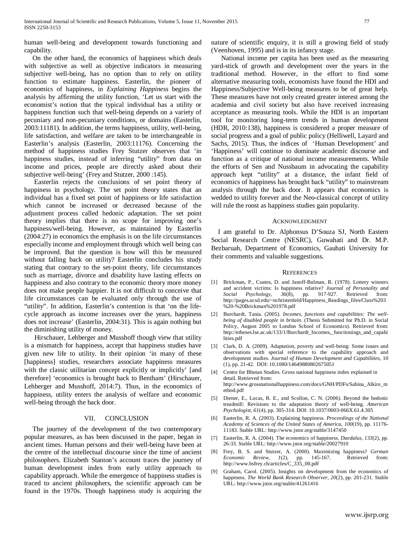human well-being and development towards functioning and capability.

 On the other hand, the economics of happiness which deals with subjective as well as objective indicators in measuring subjective well-being, has no option than to rely on utility function to estimate happiness. Easterlin, the pioneer of economics of happiness, in *Explaining Happiness* begins the analysis by affirming the utility function, 'Let us start with the economist's notion that the typical individual has a utility or happiness function such that well-being depends on a variety of pecuniary and non-pecuniary conditions, or domains (Easterlin, 2003:11181). In addition, the terms happiness, utility, well-being, life satisfaction, and welfare are taken to be interchangeable in Easterlin's analysis (Easterlin, 2003:11176). Concerning the method of happiness studies Frey Stutzer observes that 'in happiness studies, instead of inferring "utility" from data on income and prices, people are directly asked about their subjective well-being' (Frey and Stutzer, 2000 :145).

 Easterlin rejects the conclusions of set point theory of happiness in psychology. The set point theory states that an individual has a fixed set point of happiness or life satisfaction which cannot be increased or decreased because of the adjustment process called hedonic adaptation. The set point theory implies that there is no scope for improving one's happiness/well-being. However, as maintained by Easterlin (2004:27) in economics the emphasis is on the life circumstances especially income and employment through which well being can be improved. But the question is how will this be measured without falling back on utility? Easterlin concludes his study stating that contrary to the set-point theory, life circumstances such as marriage, divorce and disability have lasting effects on happiness and also contrary to the economic theory more money does not make people happier. It is not difficult to conceive that life circumstances can be evaluated only through the use of "utility". In addition, Easterlin's contention is that 'on the lifecycle approach as income increases over the years, happiness does not increase' (Easterlin, 2004:31). This is again nothing but the diminishing utility of money.

 Hirschauer, Lehberger and Musshoff though view that utility is a mismatch for happiness, accept that happiness studies have given new life to utility. In their opinion 'in many of these [happiness] studies, researchers associate happiness measures with the classic utilitarian concept explicitly or implicitly' [and therefore] 'economics is brought back to Bentham' (Hirschauer, Lehberger and Musshoff, 2014:7). Thus, in the economics of happiness, utility enters the analysis of welfare and economic well-being through the back door.

### VII. CONCLUSION

 The journey of the development of the two contemporary popular measures, as has been discussed in the paper, began in ancient times. Human persons and their well-being have been at the centre of the intellectual discourse since the time of ancient philosophers. Elizabeth Stanton's account traces the journey of human development index from early utility approach to capability approach. While the emergence of happiness studies is traced to ancient philosophers, the scientific approach can be found in the 1970s. Though happiness study is acquiring the nature of scientific enquiry, it is still a growing field of study (Veenhoven, 1995) and is in its infancy stage.

 National income per capita has been used as the measuring yard-stick of growth and development over the years in the traditional method. However, in the effort to find some alternative measuring tools, economists have found the HDI and Happiness/Subjective Well-being measures to be of great help. These measures have not only created greater interest among the academia and civil society but also have received increasing acceptance as measuring tools. While the HDI is an important tool for monitoring long-term trends in human development (HDR, 2010:138), happiness is considered a proper measure of social progress and a goal of public policy (Helliwell, Layard and Sachs, 2015). Thus, the indices of 'Human Development' and 'Happiness' will continue to dominate academic discourse and function as a critique of national income measurements. While the efforts of Sen and Nussbaum in advocating the capability approach kept "utility" at a distance, the infant field of economics of happiness has brought back "utility" to mainstream analysis through the back door. It appears that economics is wedded to utility forever and the Neo-classical concept of utility will rule the roost as happiness studies gain popularity.

#### ACKNOWLEDGMENT

I am grateful to Dr. Alphonsus D'Souza SJ, North Eastern Social Research Centre (NESRC), Guwahati and Dr. M.P. Bezbaruah, Department of Economics, Gauhati University for their comments and valuable suggestions.

#### **REFERENCES**

- [1] Brickman, P., Coates, D. and Janoff-Bulman, R. (1978). Lottery winners and accident victims: Is happiness relative? *Journal of Personality and Social Psychology*, *36*(8), pp. 917-927. Retrieved from: [http://pages.ucsd.edu/~nchristenfeld/Happiness\\_Readings\\_files/Class%203](http://pages.ucsd.edu/~nchristenfeld/Happiness_Readings_files/Class%203%20-%20Brickman%201978.pdf) [%20-%20Brickman%201978.pdf](http://pages.ucsd.edu/~nchristenfeld/Happiness_Readings_files/Class%203%20-%20Brickman%201978.pdf)
- [2] Burchardt, Tania. (2005). *Incomes, functions and capabilities: The wellbeing of disabled people in britain*. (Thesis Submitted for Ph.D. in Social Policy, August 2005 to London School of Economics). Retrieved from: [http://etheses.lse.ac.uk/133/1/Burchardt\\_Incomes,\\_functionings\\_and\\_capabi](http://etheses.lse.ac.uk/133/1/Burchardt_Incomes,_functionings_and_capabilities.pdf) [lities.pdf](http://etheses.lse.ac.uk/133/1/Burchardt_Incomes,_functionings_and_capabilities.pdf)
- [3] Clark, D. A. (2009). Adaptation, poverty and well-being: Some issues and observations with special reference to the capability approach and development studies. *Journal of Human Development and Capabilities*, 10 (1), pp. 21-42. DOI: 10.1080/14649880802675051
- [4] Centre for Bhutan Studies. Gross national happiness index explained in detail. Retrieved from: [http://www.grossnationalhappiness.com/docs/GNH/PDFs/Sabina\\_Alkire\\_m](http://www.grossnationalhappiness.com/docs/GNH/PDFs/Sabina_Alkire_method.pdf) [ethod.pdf](http://www.grossnationalhappiness.com/docs/GNH/PDFs/Sabina_Alkire_method.pdf)
- [5] Diener, E., Lucas, R. E., and Scollon, C. N. (2006). Beyond the hedonic treadmill: Revisions to the adaptation theory of well-being. *American Psychologist*, *61*(4), pp. 305-314. DOI: 10.1037/0003-066X.61.4.305
- [6] Easterlin, R. A. (2003). Explaining happiness. *Proceedings of the National Academy of Sciences of the United States of America*, *100*(19), pp. 11176- 11183. Stable URL[: http://www.jstor.org/stable/3147450](http://www.jstor.org/stable/3147450)
- [7] Easterlin, R. A. (2004). The economics of happiness. *Daedalus*, *133*(2), pp. 26-33. Stable URL:<http://www.jstor.org/stable/20027910>
- [8] Frey, B. S. and Stutzer, A. (2000). Maximizing happiness? *German Economic Review*, *1*(2), pp. 145-167. Retrieved from: [http://www.bsfrey.ch/articles/C\\_335\\_00.pdf](http://www.bsfrey.ch/articles/C_335_00.pdf)
- Graham, Carol. (2005). Insights on development from the economics of happiness. *The World Bank Research Observer*, *20*(2), pp. 201-231. Stable URL[: http://www.jstor.org/stable/41261416](http://www.jstor.org/stable/41261416)